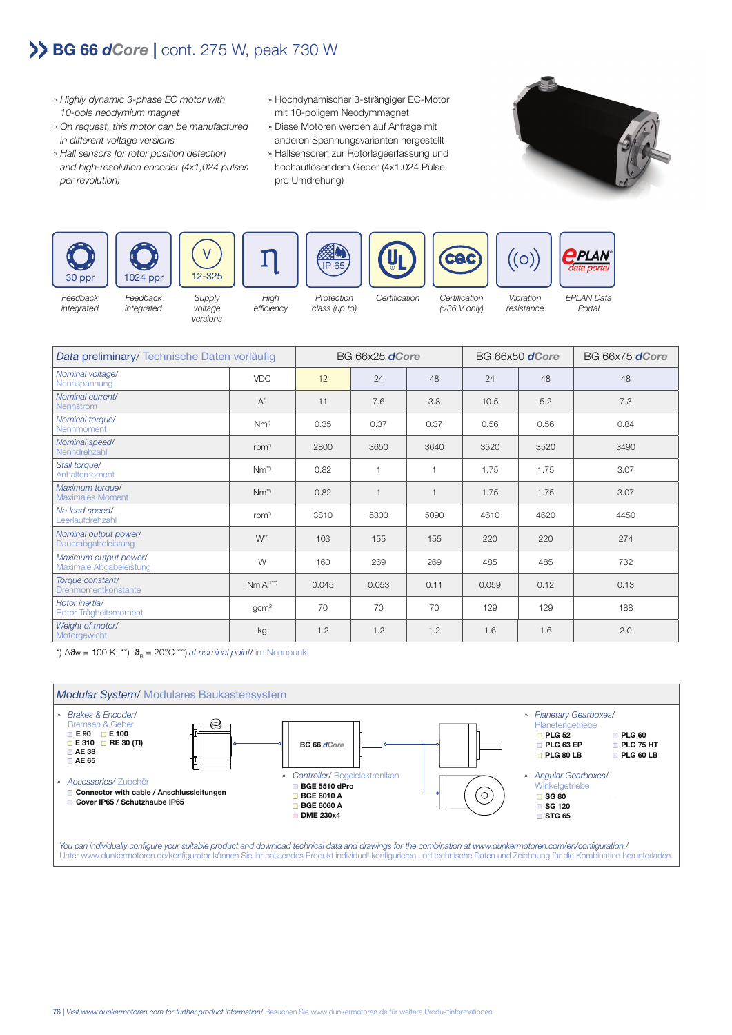## **BG 66** *dCore* **|** cont. 275 W, peak 730 W

- » Highly dynamic 3-phase EC motor with 10-pole neodymium magnet
- » On request, this motor can be manufactured in different voltage versions
- » Hall sensors for rotor position detection and high-resolution encoder (4x1,024 pulses per revolution)

integrated

- » Hochdynamischer 3-strängiger EC-Motor mit 10-poligem Neodymmagnet
- » Diese Motoren werden auf Anfrage mit anderen Spannungsvarianten hergestellt
- » Hallsensoren zur Rotorlageerfassung und hochauflösendem Geber (4x1.024 Pulse pro Umdrehung)





Feedback integrated



**Supply** voltage efficiency

versions

Protection class (up to)

High

CAC Certification Certification (>36 V only)

Vibration resistance

 $\bigl( \bigcirc \bigr)$ 



**PLAN** 

| Data preliminary/ Technische Daten vorläufig     |                    | BG 66x25 <b>dCore</b> |                |      | BG 66x50 <b>dCore</b> |      | BG 66x75 <b>dCore</b> |
|--------------------------------------------------|--------------------|-----------------------|----------------|------|-----------------------|------|-----------------------|
| Nominal voltage/<br>Nennspannung                 | <b>VDC</b>         | 12                    | 24             | 48   | 24                    | 48   | 48                    |
| Nominal current/<br>Nennstrom                    | $A^{\eta}$         | 11                    | 7.6            | 3.8  | 10.5                  | 5.2  | 7.3                   |
| Nominal torque/<br>Nennmoment                    | $Nm^{\gamma}$      | 0.35                  | 0.37           | 0.37 | 0.56                  | 0.56 | 0.84                  |
| Nominal speed/<br>Nenndrehzahl                   | rpm <sup>*</sup>   | 2800                  | 3650           | 3640 | 3520                  | 3520 | 3490                  |
| Stall torque/<br>Anhaltemoment                   | $Nm^{\gamma}$      | 0.82                  | $\mathbf 1$    |      | 1.75                  | 1.75 | 3.07                  |
| Maximum torque/<br><b>Maximales Moment</b>       | $Nm^{\gamma}$      | 0.82                  | $\overline{1}$ |      | 1.75                  | 1.75 | 3.07                  |
| No load speed/<br>Leerlaufdrehzahl               | rpm <sup>3</sup>   | 3810                  | 5300           | 5090 | 4610                  | 4620 | 4450                  |
| Nominal output power/<br>Dauerabgabeleistung     | $W^{\prime\prime}$ | 103                   | 155            | 155  | 220                   | 220  | 274                   |
| Maximum output power/<br>Maximale Abgabeleistung | W                  | 160                   | 269            | 269  | 485                   | 485  | 732                   |
| Torque constant/<br>Drehmomentkonstante          | $Nm A^{-1^{**}}$   | 0.045                 | 0.053          | 0.11 | 0.059                 | 0.12 | 0.13                  |
| Rotor inertial<br>Rotor Trägheitsmoment          | gcm <sup>2</sup>   | 70                    | 70             | 70   | 129                   | 129  | 188                   |
| Weight of motor/<br>Motorgewicht                 | kg                 | 1.2                   | 1.2            | 1.2  | 1.6                   | 1.6  | 2.0                   |

\*)  $\Delta\vartheta_{\rm w}$  = 100 K; \*\*)  $\vartheta_{\rm p}$  = 20°C \*\*\*) at nominal point/ im Nennpunkt